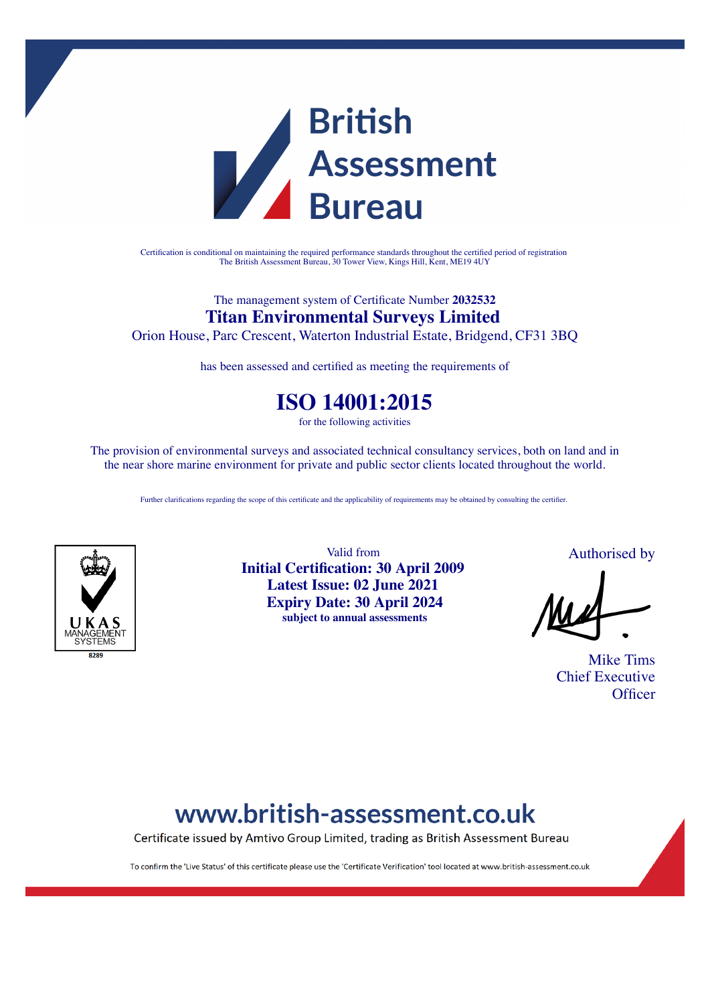

Certification is conditional on maintaining the required performance standards throughout the certified period of registration The British Assessment Bureau, 30 Tower View, Kings Hill, Kent, ME19 4UY

### The management system of Certificate Number **2032532 Titan Environmental Surveys Limited**

Orion House, Parc Crescent, Waterton Industrial Estate, Bridgend, CF31 3BQ

has been assessed and certified as meeting the requirements of

### **ISO 14001:2015**

for the following activities

The provision of environmental surveys and associated technical consultancy services, both on land and in the near shore marine environment for private and public sector clients located throughout the world.

Further clarifications regarding the scope of this certificate and the applicability of requirements may be obtained by consulting the certifier.



Valid from **Initial Certification: 30 April 2009 Latest Issue: 02 June 2021 Expiry Date: 30 April 2024 subject to annual assessments**

Authorised by

Mike Tims Chief Executive **Officer** 

# www.british-assessment.co.uk

Certificate issued by Amtivo Group Limited, trading as British Assessment Bureau

To confirm the 'Live Status' of this certificate please use the 'Certificate Verification' tool located at www.british-assessment.co.uk